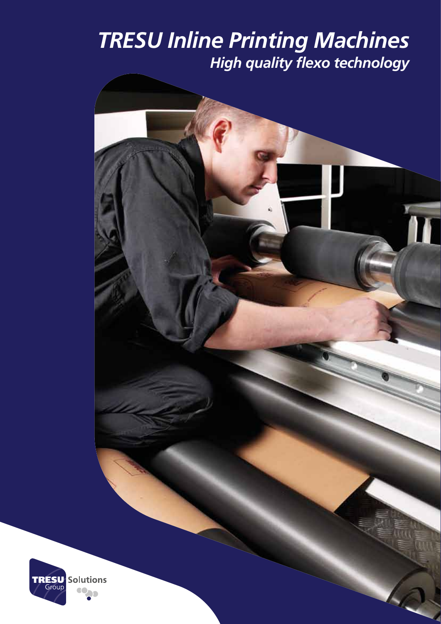## *TRESU Inline Printing Machines High quality flexo technology*